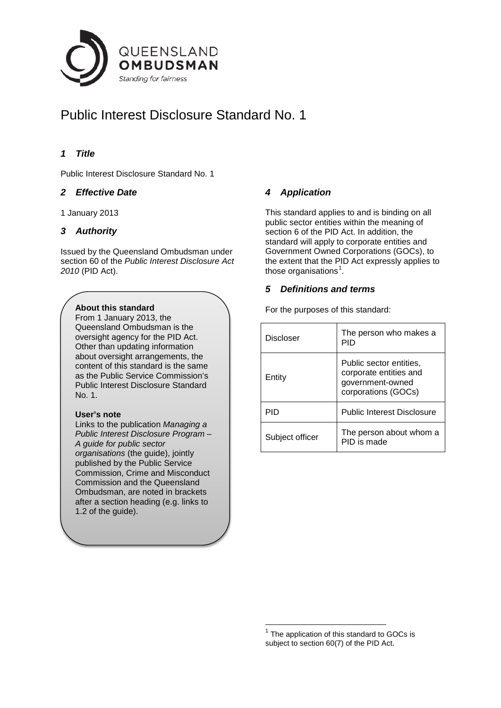

# Public Interest Disclosure Standard No. 1

# *1 Title*

Public Interest Disclosure Standard No. 1

# *2 Effective Date*

1 January 2013

## *3 Authority*

Issued by the Queensland Ombudsman under section 60 of the *Public Interest Disclosure Act 2010* (PID Act).

## **About this standard**

From 1 January 2013, the Queensland Ombudsman is the oversight agency for the PID Act. Other than updating information about oversight arrangements, the content of this standard is the same as the Public Service Commission's Public Interest Disclosure Standard No. 1.

#### **User's note**

<span id="page-0-0"></span>Links to the publication *Managing a Public Interest Disclosure Program – A guide for public sector organisations* (the guide), jointly published by the Public Service Commission, Crime and Misconduct Commission and the Queensland Ombudsman, are noted in brackets after a section heading (e.g. links to 1.2 of the guide).

# *4 Application*

This standard applies to and is binding on all public sector entities within the meaning of section 6 of the PID Act. In addition, the standard will apply to corporate entities and Government Owned Corporations (GOCs), to the extent that the PID Act expressly applies to those organisations<sup>[1](#page-0-0)</sup>.

## *5 Definitions and terms*

For the purposes of this standard:

| Discloser       | The person who makes a<br>PID                                                                |
|-----------------|----------------------------------------------------------------------------------------------|
| Entity          | Public sector entities,<br>corporate entities and<br>government-owned<br>corporations (GOCs) |
| PID             | <b>Public Interest Disclosure</b>                                                            |
| Subject officer | The person about whom a<br>PID is made                                                       |

 $1$  The application of this standard to GOCs is subject to section 60(7) of the PID Act.  $\overline{\phantom{a}}$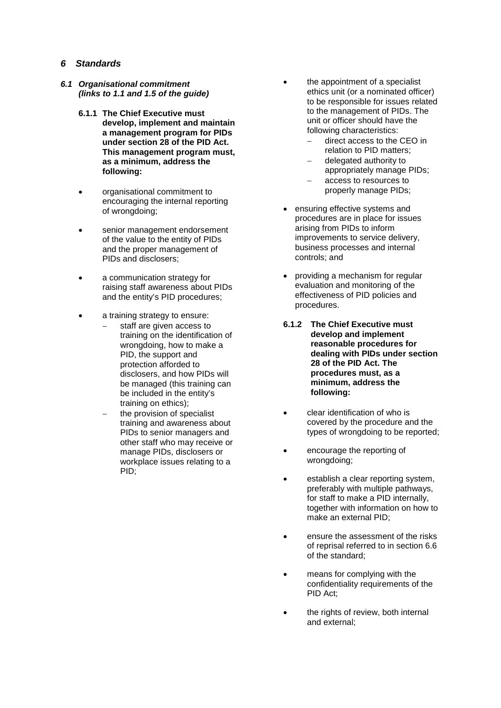#### *6 Standards*

- *6.1 Organisational commitment (links to 1.1 and 1.5 of the guide)*
	- **6.1.1 The Chief Executive must develop, implement and maintain a management program for PIDs under section 28 of the PID Act. This management program must, as a minimum, address the following:**
	- organisational commitment to encouraging the internal reporting of wrongdoing;
	- senior management endorsement of the value to the entity of PIDs and the proper management of PIDs and disclosers;
	- a communication strategy for raising staff awareness about PIDs and the entity's PID procedures;
	- a training strategy to ensure:
		- staff are given access to training on the identification of wrongdoing, how to make a PID, the support and protection afforded to disclosers, and how PIDs will be managed (this training can be included in the entity's training on ethics);
		- the provision of specialist training and awareness about PIDs to senior managers and other staff who may receive or manage PIDs, disclosers or workplace issues relating to a PID;
- the appointment of a specialist ethics unit (or a nominated officer) to be responsible for issues related to the management of PIDs. The unit or officer should have the following characteristics:
	- direct access to the CEO in relation to PID matters;
	- − delegated authority to appropriately manage PIDs;
	- − access to resources to properly manage PIDs;
- ensuring effective systems and procedures are in place for issues arising from PIDs to inform improvements to service delivery, business processes and internal controls; and
- providing a mechanism for regular evaluation and monitoring of the effectiveness of PID policies and procedures.
- **6.1.2 The Chief Executive must develop and implement reasonable procedures for dealing with PIDs under section 28 of the PID Act. The procedures must, as a minimum, address the following:**
- clear identification of who is covered by the procedure and the types of wrongdoing to be reported;
- encourage the reporting of wrongdoing;
- establish a clear reporting system. preferably with multiple pathways, for staff to make a PID internally, together with information on how to make an external PID;
- ensure the assessment of the risks of reprisal referred to in section 6.6 of the standard;
- means for complying with the confidentiality requirements of the PID Act;
- the rights of review, both internal and external;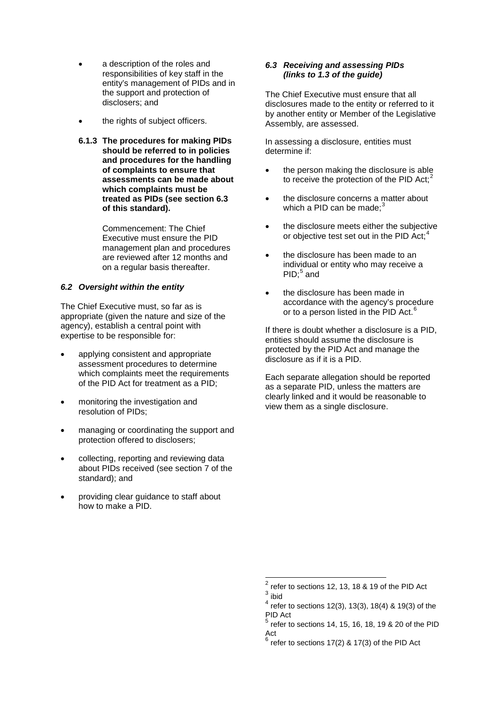- a description of the roles and responsibilities of key staff in the entity's management of PIDs and in the support and protection of disclosers; and
- the rights of subject officers.
- **6.1.3 The procedures for making PIDs should be referred to in policies and procedures for the handling of complaints to ensure that assessments can be made about which complaints must be treated as PIDs (see section 6.3 of this standard).**

Commencement: The Chief Executive must ensure the PID management plan and procedures are reviewed after 12 months and on a regular basis thereafter.

## *6.2 Oversight within the entity*

The Chief Executive must, so far as is appropriate (given the nature and size of the agency), establish a central point with expertise to be responsible for:

- applying consistent and appropriate assessment procedures to determine which complaints meet the requirements of the PID Act for treatment as a PID;
- monitoring the investigation and resolution of PIDs;
- managing or coordinating the support and protection offered to disclosers;
- collecting, reporting and reviewing data about PIDs received (see section 7 of the standard); and
- <span id="page-2-4"></span><span id="page-2-3"></span><span id="page-2-2"></span><span id="page-2-1"></span><span id="page-2-0"></span>• providing clear guidance to staff about how to make a PID.

## *6.3 Receiving and assessing PIDs (links to 1.3 of the guide)*

The Chief Executive must ensure that all disclosures made to the entity or referred to it by another entity or Member of the Legislative Assembly, are assessed.

In assessing a disclosure, entities must determine if:

- the person making the disclosure is able to receive the protection of the PID Act;<sup>[2](#page-2-0)</sup>
- the disclosure concerns a matter about which a PID can be made:<sup>[3](#page-2-1)</sup>
- the disclosure meets either the subjective or objective test set out in the PID Act:<sup>[4](#page-2-2)</sup>
- the disclosure has been made to an individual or entity who may receive a  $PID$ ;<sup>[5](#page-2-3)</sup> and
- the disclosure has been made in accordance with the agency's procedure or to a person listed in the PID Act.<sup>[6](#page-2-4)</sup>

If there is doubt whether a disclosure is a PID, entities should assume the disclosure is protected by the PID Act and manage the disclosure as if it is a PID.

Each separate allegation should be reported as a separate PID, unless the matters are clearly linked and it would be reasonable to view them as a single disclosure.

refer to sections 12, 13, 18 & 19 of the PID Act  $\frac{3}{4}$  ibid  $\overline{2}$ 

refer to sections 12(3), 13(3), 18(4) & 19(3) of the PID Act

<sup>5</sup> refer to sections 14, 15, 16, 18, 19 & 20 of the PID Act<br>6

refer to sections  $17(2)$  &  $17(3)$  of the PID Act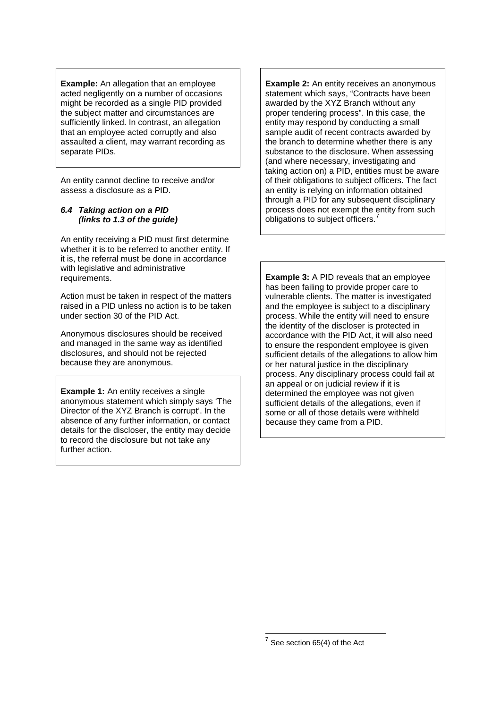**Example:** An allegation that an employee acted negligently on a number of occasions might be recorded as a single PID provided the subject matter and circumstances are sufficiently linked. In contrast, an allegation that an employee acted corruptly and also assaulted a client, may warrant recording as separate PIDs.

An entity cannot decline to receive and/or assess a disclosure as a PID.

#### *6.4 Taking action on a PID (links to 1.3 of the guide)*

An entity receiving a PID must first determine whether it is to be referred to another entity. If it is, the referral must be done in accordance with legislative and administrative requirements.

Action must be taken in respect of the matters raised in a PID unless no action is to be taken under section 30 of the PID Act.

Anonymous disclosures should be received and managed in the same way as identified disclosures, and should not be rejected because they are anonymous.

<span id="page-3-0"></span>**Example 1:** An entity receives a single anonymous statement which simply says 'The Director of the XYZ Branch is corrupt'. In the absence of any further information, or contact details for the discloser, the entity may decide to record the disclosure but not take any further action.

**Example 2:** An entity receives an anonymous statement which says, "Contracts have been awarded by the XYZ Branch without any proper tendering process". In this case, the entity may respond by conducting a small sample audit of recent contracts awarded by the branch to determine whether there is any substance to the disclosure. When assessing (and where necessary, investigating and taking action on) a PID, entities must be aware of their obligations to subject officers. The fact an entity is relying on information obtained through a PID for any subsequent disciplinary process does not exempt the entity from such obligations to subject officers.<sup>[7](#page-3-0)</sup>

**Example 3:** A PID reveals that an employee has been failing to provide proper care to vulnerable clients. The matter is investigated and the employee is subject to a disciplinary process. While the entity will need to ensure the identity of the discloser is protected in accordance with the PID Act, it will also need to ensure the respondent employee is given sufficient details of the allegations to allow him or her natural justice in the disciplinary process. Any disciplinary process could fail at an appeal or on judicial review if it is determined the employee was not given sufficient details of the allegations, even if some or all of those details were withheld because they came from a PID.

 $\overline{a}$ 

 $^7$  See section 65(4) of the Act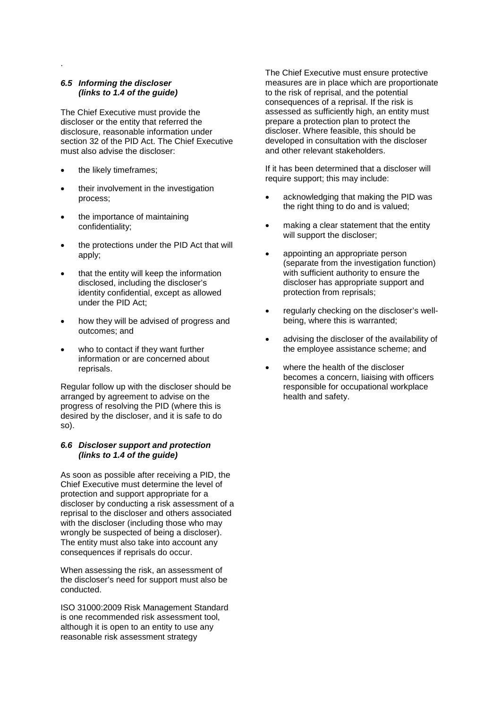## *6.5 Informing the discloser (links to 1.4 of the guide)*

.

The Chief Executive must provide the discloser or the entity that referred the disclosure, reasonable information under section 32 of the PID Act. The Chief Executive must also advise the discloser:

- the likely timeframes;
- their involvement in the investigation process;
- the importance of maintaining confidentiality;
- the protections under the PID Act that will apply;
- that the entity will keep the information disclosed, including the discloser's identity confidential, except as allowed under the PID Act;
- how they will be advised of progress and outcomes; and
- who to contact if they want further information or are concerned about reprisals.

Regular follow up with the discloser should be arranged by agreement to advise on the progress of resolving the PID (where this is desired by the discloser, and it is safe to do so).

#### *6.6 Discloser support and protection (links to 1.4 of the guide)*

As soon as possible after receiving a PID, the Chief Executive must determine the level of protection and support appropriate for a discloser by conducting a risk assessment of a reprisal to the discloser and others associated with the discloser (including those who may wrongly be suspected of being a discloser). The entity must also take into account any consequences if reprisals do occur.

When assessing the risk, an assessment of the discloser's need for support must also be conducted.

ISO 31000:2009 Risk Management Standard is one recommended risk assessment tool, although it is open to an entity to use any reasonable risk assessment strategy

The Chief Executive must ensure protective measures are in place which are proportionate to the risk of reprisal, and the potential consequences of a reprisal. If the risk is assessed as sufficiently high, an entity must prepare a protection plan to protect the discloser. Where feasible, this should be developed in consultation with the discloser and other relevant stakeholders.

If it has been determined that a discloser will require support; this may include:

- acknowledging that making the PID was the right thing to do and is valued;
- making a clear statement that the entity will support the discloser;
- appointing an appropriate person (separate from the investigation function) with sufficient authority to ensure the discloser has appropriate support and protection from reprisals;
- regularly checking on the discloser's wellbeing, where this is warranted;
- advising the discloser of the availability of the employee assistance scheme; and
- where the health of the discloser becomes a concern, liaising with officers responsible for occupational workplace health and safety.